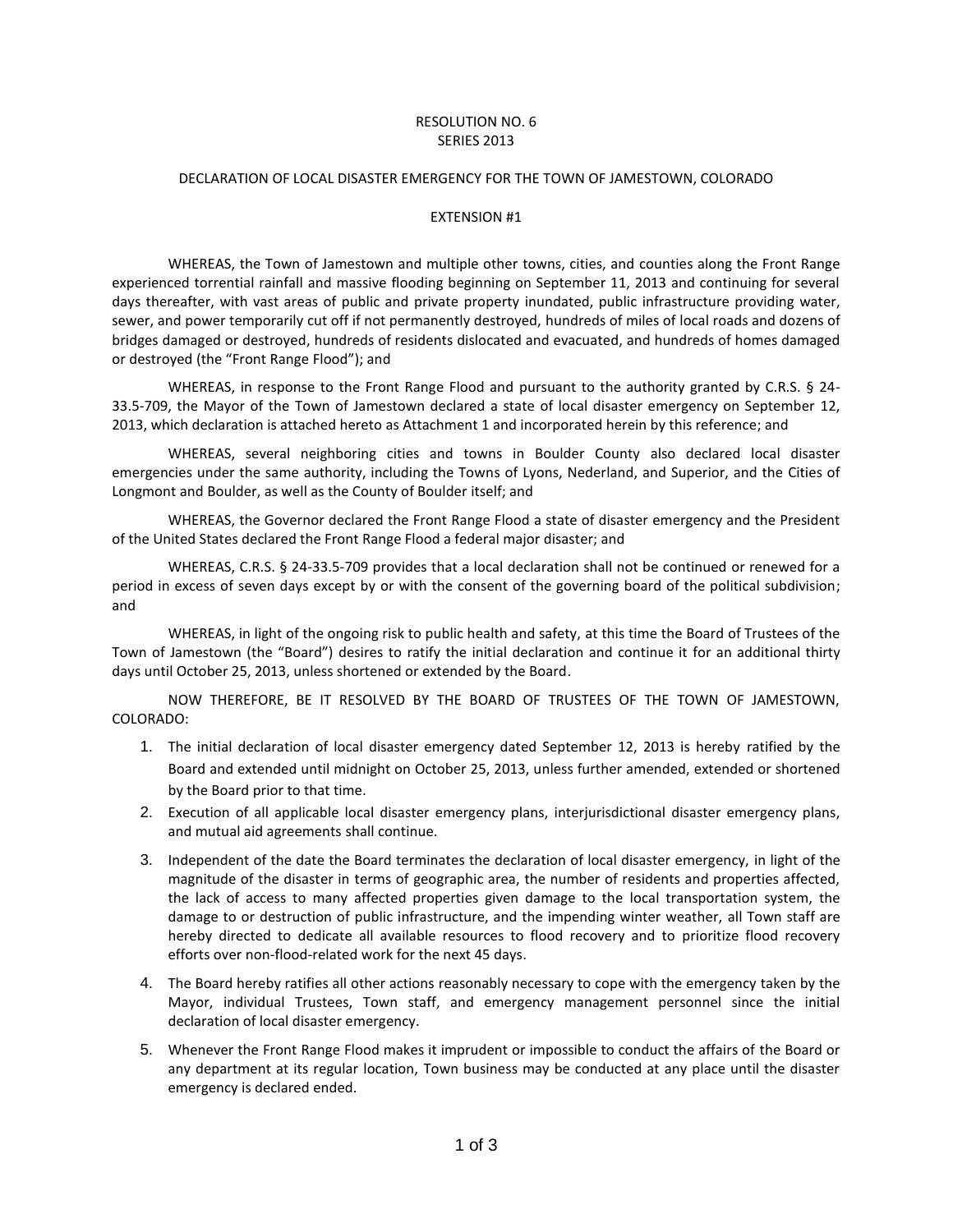## RESOLUTION NO. 6 SERIES 2013

## DECLARATION OF LOCAL DISASTER EMERGENCY FOR THE TOWN OF JAMESTOWN, COLORADO

## EXTENSION #1

WHEREAS, the Town of Jamestown and multiple other towns, cities, and counties along the Front Range experienced torrential rainfall and massive flooding beginning on September 11, 2013 and continuing for several days thereafter, with vast areas of public and private property inundated, public infrastructure providing water, sewer, and power temporarily cut off if not permanently destroyed, hundreds of miles of local roads and dozens of bridges damaged or destroyed, hundreds of residents dislocated and evacuated, and hundreds of homes damaged or destroyed (the "Front Range Flood"); and

WHEREAS, in response to the Front Range Flood and pursuant to the authority granted by C.R.S. § 24-33.5-709, the Mayor of the Town of Jamestown declared a state of local disaster emergency on September 12, 2013, which declaration is attached hereto as Attachment 1 and incorporated herein by this reference; and

WHEREAS, several neighboring cities and towns in Boulder County also declared local disaster emergencies under the same authority, including the Towns of Lyons, Nederland, and Superior, and the Cities of Longmont and Boulder, as well as the County of Boulder itself; and

WHEREAS, the Governor declared the Front Range Flood a state of disaster emergency and the President of the United States declared the Front Range Flood a federal major disaster; and

WHEREAS, C.R.S. § 24-33.5-709 provides that a local declaration shall not be continued or renewed for a period in excess of seven days except by or with the consent of the governing board of the political subdivision; and

WHEREAS, in light of the ongoing risk to public health and safety, at this time the Board of Trustees of the Town of Jamestown (the "Board") desires to ratify the initial declaration and continue it for an additional thirty days until October 25, 2013, unless shortened or extended by the Board.

NOW THEREFORE, BE IT RESOLVED BY THE BOARD OF TRUSTEES OF THE TOWN OF JAMESTOWN, COLORADO:

- 1. The initial declaration of local disaster emergency dated September 12, 2013 is hereby ratified by the Board and extended until midnight on October 25, 2013, unless further amended, extended or shortened by the Board prior to that time.
- 2. Execution of all applicable local disaster emergency plans, interjurisdictional disaster emergency plans, and mutual aid agreements shall continue.
- 3. Independent of the date the Board terminates the declaration of local disaster emergency, in light of the magnitude of the disaster in terms of geographic area, the number of residents and properties affected, the lack of access to many affected properties given damage to the local transportation system, the damage to or destruction of public infrastructure, and the impending winter weather, all Town staff are hereby directed to dedicate all available resources to flood recovery and to prioritize flood recovery efforts over non-flood-related work for the next 45 days.
- 4. The Board hereby ratifies all other actions reasonably necessary to cope with the emergency taken by the Mayor, individual Trustees, Town staff, and emergency management personnel since the initial declaration of local disaster emergency.
- 5. Whenever the Front Range Flood makes it imprudent or impossible to conduct the affairs of the Board or any department at its regular location, Town business may be conducted at any place until the disaster emergency is declared ended.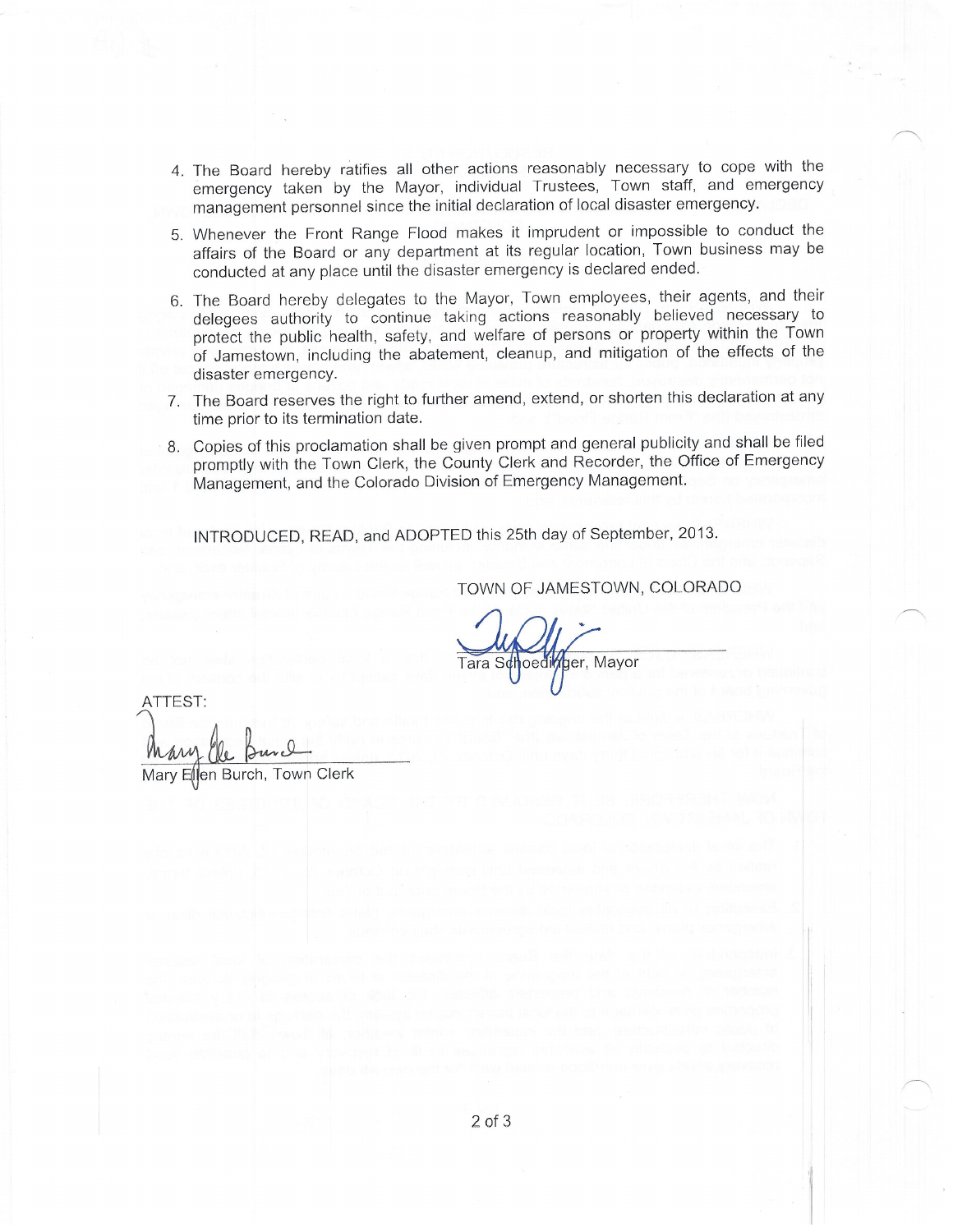- 4. The Board hereby ratifies all other actions reasonably necessary to cope with the emergency taken by the Mayor, individual Trustees, Town staff, and emergency management personnel since the initial declaration of local disaster emergency.
- 5. Whenever the Front Range Flood makes it imprudent or impossible to conduct the affairs of the Board or any department at its regular location, Town business may be conducted at any place until the disaster emergency is declared ended.
- 6. The Board hereby delegates to the Mayor, Town employees, their agents, and their delegees authority to continue taking actions reasonably believed necessary to protect the public health, safety, and welfare of persons or property within the Town of Jamestown, including the abatement, cleanup, and mitigation of the effects of the disaster emergency.
- 7. The Board reserves the right to further amend, extend, or shorten this declaration at any time prior to its termination date.
- 8. Copies of this proclamation shall be given prompt and general publicity and shall be filed promptly with the Town Clerk, the County Clerk and Recorder, the Office of Emergency Management, and the Colorado Division of Emergency Management.

INTRODUCED, READ, and ADOPTED this 25th day of September, 2013.

TOWN OF JAMESTOWN, COLORADO

Tara Schoedimger, Mayor

ATTEST: Mary Ellen Burch, Town Clerk